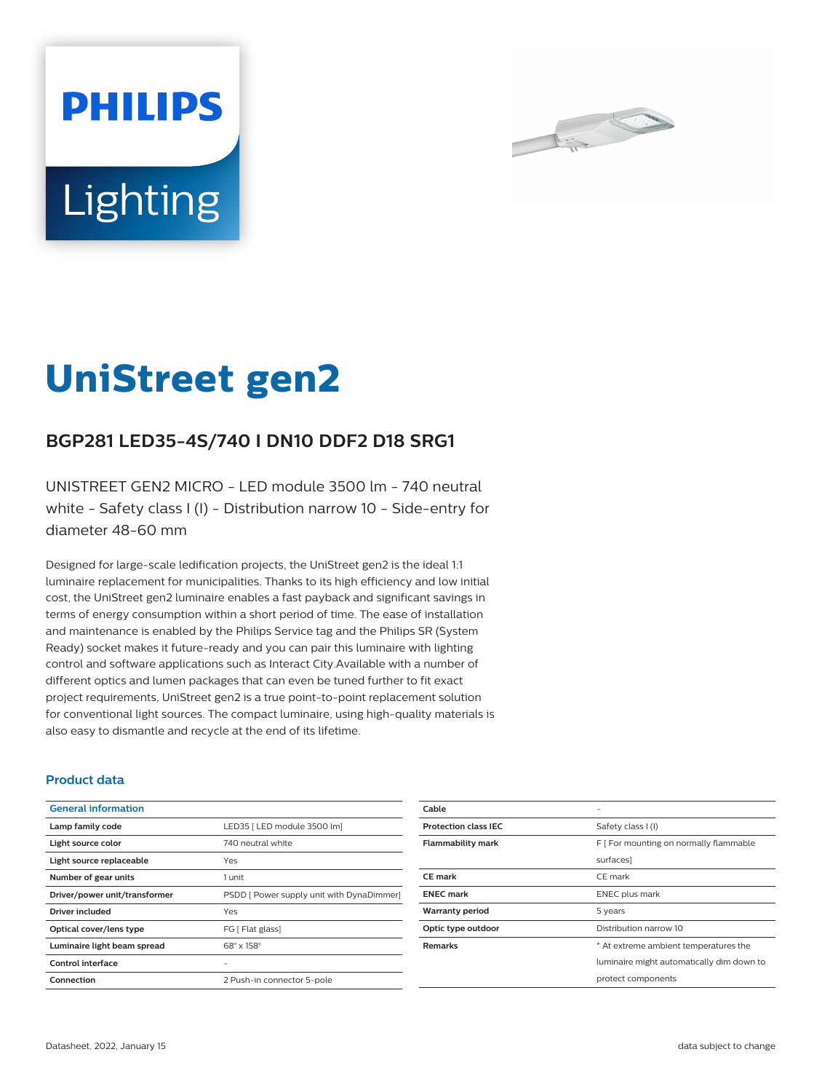



# **UniStreet gen2**

## **BGP281 LED35-4S/740 I DN10 DDF2 D18 SRG1**

UNISTREET GEN2 MICRO - LED module 3500 lm - 740 neutral white - Safety class I (I) - Distribution narrow 10 - Side-entry for diameter 48-60 mm

Designed for large-scale ledification projects, the UniStreet gen2 is the ideal 1:1 luminaire replacement for municipalities. Thanks to its high efficiency and low initial cost, the UniStreet gen2 luminaire enables a fast payback and significant savings in terms of energy consumption within a short period of time. The ease of installation and maintenance is enabled by the Philips Service tag and the Philips SR (System Ready) socket makes it future-ready and you can pair this luminaire with lighting control and software applications such as Interact City.Available with a number of different optics and lumen packages that can even be tuned further to fit exact project requirements, UniStreet gen2 is a true point-to-point replacement solution for conventional light sources. The compact luminaire, using high-quality materials is also easy to dismantle and recycle at the end of its lifetime.

#### **Product data**

| <b>General information</b>    |                                           |
|-------------------------------|-------------------------------------------|
| Lamp family code              | LED35   LED module 3500 lm]               |
| Light source color            | 740 neutral white                         |
| Light source replaceable      | Yes                                       |
| Number of gear units          | 1 unit                                    |
| Driver/power unit/transformer | PSDD [ Power supply unit with DynaDimmer] |
| Driver included               | Yes                                       |
| Optical cover/lens type       | FG [ Flat glass]                          |
| Luminaire light beam spread   | $68^\circ \times 158^\circ$               |
| Control interface             |                                           |
| Connection                    | 2 Push-in connector 5-pole                |

| Cable                       |                                           |
|-----------------------------|-------------------------------------------|
| <b>Protection class IEC</b> | Safety class I (I)                        |
| <b>Flammability mark</b>    | F   For mounting on normally flammable    |
|                             | surfaces]                                 |
| <b>CE</b> mark              | CE mark                                   |
| <b>ENEC</b> mark            | ENEC plus mark                            |
| <b>Warranty period</b>      | 5 years                                   |
| Optic type outdoor          | Distribution narrow 10                    |
| <b>Remarks</b>              | * At extreme ambient temperatures the     |
|                             | luminaire might automatically dim down to |
|                             | protect components                        |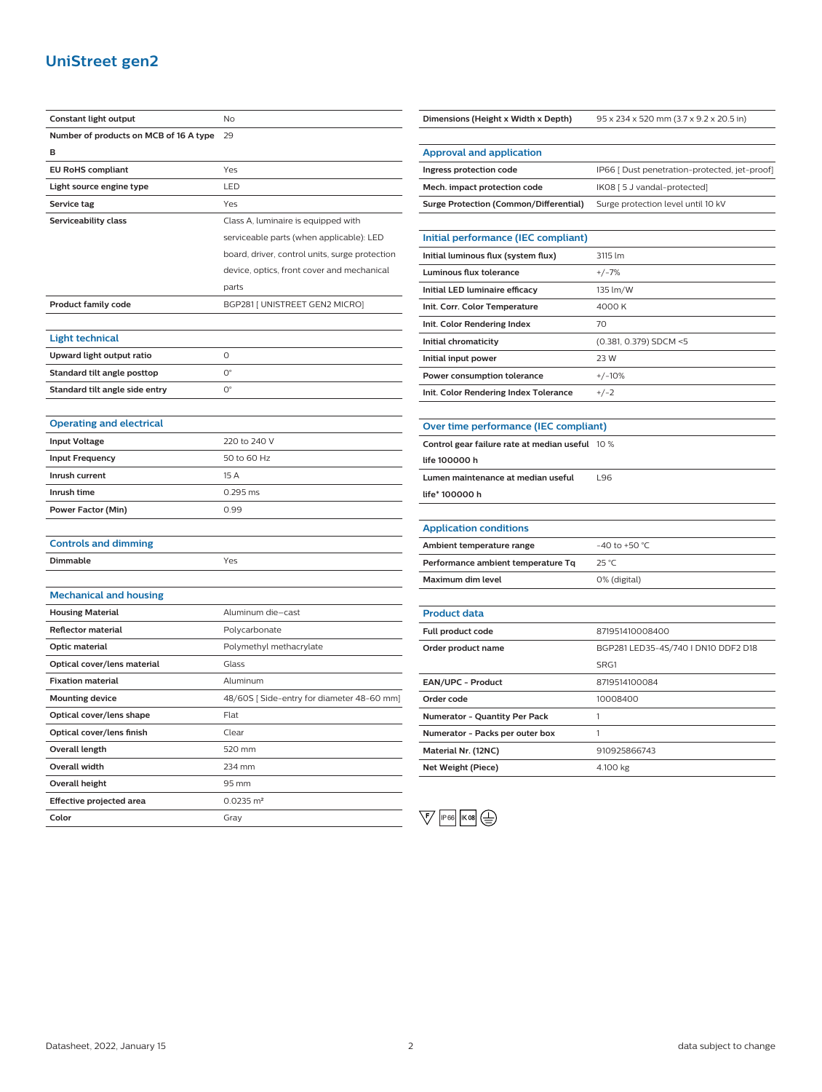## **UniStreet gen2**

| Constant light output                  | No                                             |
|----------------------------------------|------------------------------------------------|
| Number of products on MCB of 16 A type | 29                                             |
| в                                      |                                                |
| <b>EU RoHS compliant</b>               | Yes                                            |
| Light source engine type               | LED                                            |
| Service tag                            | Yes                                            |
| Serviceability class                   | Class A, luminaire is equipped with            |
|                                        | serviceable parts (when applicable): LED       |
|                                        | board, driver, control units, surge protection |
|                                        | device, optics, front cover and mechanical     |
|                                        | parts                                          |
| <b>Product family code</b>             | BGP281 [ UNISTREET GEN2 MICRO]                 |
|                                        |                                                |
| <b>Light technical</b>                 |                                                |
| Upward light output ratio              | O                                              |
| Standard tilt angle posttop            | $\mathsf{O}^\circ$                             |
| Standard tilt angle side entry         | $\mathsf{O}^\circ$                             |
|                                        |                                                |
| <b>Operating and electrical</b>        |                                                |
| <b>Input Voltage</b>                   | 220 to 240 V                                   |
| <b>Input Frequency</b>                 | 50 to 60 Hz                                    |
| Inrush current                         | 15 A                                           |
| Inrush time                            | 0.295 ms                                       |
| Power Factor (Min)                     | 0.99                                           |
|                                        |                                                |
| <b>Controls and dimming</b>            |                                                |
| Dimmable                               | Yes                                            |
|                                        |                                                |
| <b>Mechanical and housing</b>          |                                                |
| <b>Housing Material</b>                | Aluminum die-cast                              |
| <b>Reflector material</b>              | Polycarbonate                                  |
| Optic material                         | Polymethyl methacrylate                        |
| Optical cover/lens material            | Glass                                          |
| <b>Fixation material</b>               | Aluminum                                       |
| <b>Mounting device</b>                 | 48/60S [Side-entry for diameter 48-60 mm]      |
| Optical cover/lens shape               | Flat                                           |
| Optical cover/lens finish              | Clear                                          |
| <b>Overall length</b>                  | 520 mm                                         |
| Overall width                          | 234 mm                                         |
| <b>Overall height</b>                  | 95 mm                                          |
| <b>Effective projected area</b>        | $0.0235 \text{ m}^2$                           |
| Color                                  | Gray                                           |

| Dimensions (Height x Width x Depth)             | 95 x 234 x 520 mm (3.7 x 9.2 x 20.5 in)       |
|-------------------------------------------------|-----------------------------------------------|
|                                                 |                                               |
| <b>Approval and application</b>                 |                                               |
| Ingress protection code                         | IP66 [ Dust penetration-protected, jet-proof] |
| Mech. impact protection code                    | IK08 [ 5 J vandal-protected]                  |
| <b>Surge Protection (Common/Differential)</b>   | Surge protection level until 10 kV            |
|                                                 |                                               |
| Initial performance (IEC compliant)             |                                               |
| Initial luminous flux (system flux)             | 3115 lm                                       |
| <b>Luminous flux tolerance</b>                  | $+/-7%$                                       |
| Initial LED luminaire efficacy                  | 135 lm/W                                      |
| Init. Corr. Color Temperature                   | 4000 K                                        |
| Init. Color Rendering Index                     | 70                                            |
| Initial chromaticity                            | (0.381, 0.379) SDCM <5                        |
| Initial input power                             | 23 W                                          |
| Power consumption tolerance                     | $+/-10%$                                      |
| Init. Color Rendering Index Tolerance           | $+/-2$                                        |
|                                                 |                                               |
| Over time performance (IEC compliant)           |                                               |
| Control gear failure rate at median useful 10 % |                                               |
| life 100000 h                                   |                                               |
| Lumen maintenance at median useful              | L96                                           |
| life* 100000 h                                  |                                               |
|                                                 |                                               |
| <b>Application conditions</b>                   |                                               |
| Ambient temperature range                       | -40 to +50 $^{\circ}$ C                       |
| Performance ambient temperature Tq              | $25^{\circ}$ C                                |
| Maximum dim level                               | 0% (digital)                                  |
|                                                 |                                               |
| <b>Product data</b>                             |                                               |
| Full product code                               | 871951410008400                               |
| Order product name                              | BGP281 LED35-4S/740   DN10 DDF2 D18           |
|                                                 | SRG1                                          |
| EAN/UPC - Product                               | 8719514100084                                 |
| Order code                                      | 10008400                                      |
| Numerator - Quantity Per Pack                   | 1                                             |
| Numerator - Packs per outer box                 | 1                                             |
| Material Nr. (12NC)                             | 910925866743                                  |
| <b>Net Weight (Piece)</b>                       | 4.100 kg                                      |